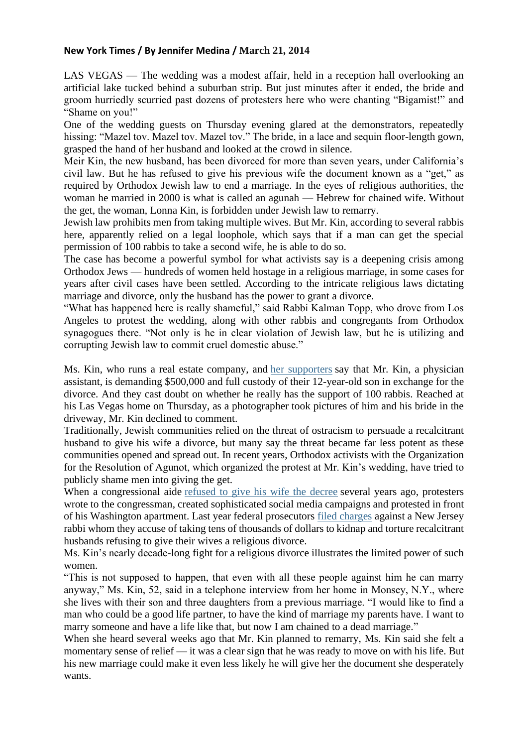## **New York Times / By [Jennifer](http://www.nytimes.com/by/jennifer-medina) Medina / March 21, 2014**

LAS VEGAS — The wedding was a modest affair, held in a reception hall overlooking an artificial lake tucked behind a suburban strip. But just minutes after it ended, the bride and groom hurriedly scurried past dozens of protesters here who were chanting "Bigamist!" and "Shame on you!"

One of the wedding guests on Thursday evening glared at the demonstrators, repeatedly hissing: "Mazel tov. Mazel tov. Mazel tov." The bride, in a lace and sequin floor-length gown, grasped the hand of her husband and looked at the crowd in silence.

Meir Kin, the new husband, has been divorced for more than seven years, under California's civil law. But he has refused to give his previous wife the document known as a "get," as required by Orthodox Jewish law to end a marriage. In the eyes of religious authorities, the woman he married in 2000 is what is called an agunah — Hebrew for chained wife. Without the get, the woman, Lonna Kin, is forbidden under Jewish law to remarry.

Jewish law prohibits men from taking multiple wives. But Mr. Kin, according to several rabbis here, apparently relied on a legal loophole, which says that if a man can get the special permission of 100 rabbis to take a second wife, he is able to do so.

The case has become a powerful symbol for what activists say is a deepening crisis among Orthodox Jews — hundreds of women held hostage in a religious marriage, in some cases for years after civil cases have been settled. According to the intricate religious laws dictating marriage and divorce, only the husband has the power to grant a divorce.

"What has happened here is really shameful," said Rabbi Kalman Topp, who drove from Los Angeles to protest the wedding, along with other rabbis and congregants from Orthodox synagogues there. "Not only is he in clear violation of Jewish law, but he is utilizing and corrupting Jewish law to commit cruel domestic abuse."

Ms. Kin, who runs a real estate company, and her [supporters](http://www.freelonna.org/#!facts/c19i6) say that Mr. Kin, a physician assistant, is demanding \$500,000 and full custody of their 12-year-old son in exchange for the divorce. And they cast doubt on whether he really has the support of 100 rabbis. Reached at his Las Vegas home on Thursday, as a photographer took pictures of him and his bride in the driveway, Mr. Kin declined to comment.

Traditionally, Jewish communities relied on the threat of ostracism to persuade a recalcitrant husband to give his wife a divorce, but many say the threat became far less potent as these communities opened and spread out. In recent years, Orthodox activists with the Organization for the Resolution of Agunot, which organized the protest at Mr. Kin's wedding, have tried to publicly shame men into giving the get.

When a congressional aide [refused](http://www.nytimes.com/2011/01/04/us/04divorce.html?action=click&module=Search&region=searchResults%230&version=&url=http%3A%2F%2Fquery.nytimes.com%2Fsearch%2Fsitesearch%2F%23%2Fagunah%2F) to give his wife the decree several years ago, protesters wrote to the congressman, created sophisticated social media campaigns and protested in front of his Washington apartment. Last year federal prosecutors filed [charges](http://www.nytimes.com/2013/10/11/nyregion/rabbis-accused-in-kidnapping-plot-to-force-men-to-grant-divorces.html?pagewanted=1&_r=0) against a New Jersey rabbi whom they accuse of taking tens of thousands of dollars to kidnap and torture recalcitrant husbands refusing to give their wives a religious divorce.

Ms. Kin's nearly decade-long fight for a religious divorce illustrates the limited power of such women.

"This is not supposed to happen, that even with all these people against him he can marry anyway," Ms. Kin, 52, said in a telephone interview from her home in Monsey, N.Y., where she lives with their son and three daughters from a previous marriage. "I would like to find a man who could be a good life partner, to have the kind of marriage my parents have. I want to marry someone and have a life like that, but now I am chained to a dead marriage."

When she heard several weeks ago that Mr. Kin planned to remarry, Ms. Kin said she felt a momentary sense of relief — it was a clear sign that he was ready to move on with his life. But his new marriage could make it even less likely he will give her the document she desperately wants.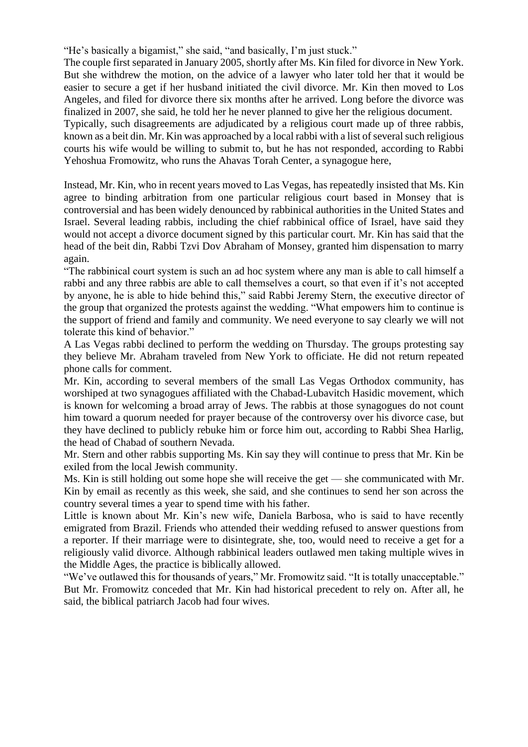"He's basically a bigamist," she said, "and basically, I'm just stuck."

The couple first separated in January 2005, shortly after Ms. Kin filed for divorce in New York. But she withdrew the motion, on the advice of a lawyer who later told her that it would be easier to secure a get if her husband initiated the civil divorce. Mr. Kin then moved to Los Angeles, and filed for divorce there six months after he arrived. Long before the divorce was finalized in 2007, she said, he told her he never planned to give her the religious document. Typically, such disagreements are adjudicated by a religious court made up of three rabbis,

known as a beit din. Mr. Kin was approached by a local rabbi with a list of several such religious courts his wife would be willing to submit to, but he has not responded, according to Rabbi Yehoshua Fromowitz, who runs the Ahavas Torah Center, a synagogue here,

Instead, Mr. Kin, who in recent years moved to Las Vegas, has repeatedly insisted that Ms. Kin agree to binding arbitration from one particular religious court based in Monsey that is controversial and has been widely denounced by rabbinical authorities in the United States and Israel. Several leading rabbis, including the chief rabbinical office of Israel, have said they would not accept a divorce document signed by this particular court. Mr. Kin has said that the head of the beit din, Rabbi Tzvi Dov Abraham of Monsey, granted him dispensation to marry again.

"The rabbinical court system is such an ad hoc system where any man is able to call himself a rabbi and any three rabbis are able to call themselves a court, so that even if it's not accepted by anyone, he is able to hide behind this," said Rabbi Jeremy Stern, the executive director of the group that organized the protests against the wedding. "What empowers him to continue is the support of friend and family and community. We need everyone to say clearly we will not tolerate this kind of behavior."

A Las Vegas rabbi declined to perform the wedding on Thursday. The groups protesting say they believe Mr. Abraham traveled from New York to officiate. He did not return repeated phone calls for comment.

Mr. Kin, according to several members of the small Las Vegas Orthodox community, has worshiped at two synagogues affiliated with the Chabad-Lubavitch Hasidic movement, which is known for welcoming a broad array of Jews. The rabbis at those synagogues do not count him toward a quorum needed for prayer because of the controversy over his divorce case, but they have declined to publicly rebuke him or force him out, according to Rabbi Shea Harlig, the head of Chabad of southern Nevada.

Mr. Stern and other rabbis supporting Ms. Kin say they will continue to press that Mr. Kin be exiled from the local Jewish community.

Ms. Kin is still holding out some hope she will receive the get — she communicated with Mr. Kin by email as recently as this week, she said, and she continues to send her son across the country several times a year to spend time with his father.

Little is known about Mr. Kin's new wife, Daniela Barbosa, who is said to have recently emigrated from Brazil. Friends who attended their wedding refused to answer questions from a reporter. If their marriage were to disintegrate, she, too, would need to receive a get for a religiously valid divorce. Although rabbinical leaders outlawed men taking multiple wives in the Middle Ages, the practice is biblically allowed.

"We've outlawed this for thousands of years," Mr. Fromowitz said. "It is totally unacceptable." But Mr. Fromowitz conceded that Mr. Kin had historical precedent to rely on. After all, he said, the biblical patriarch Jacob had four wives.